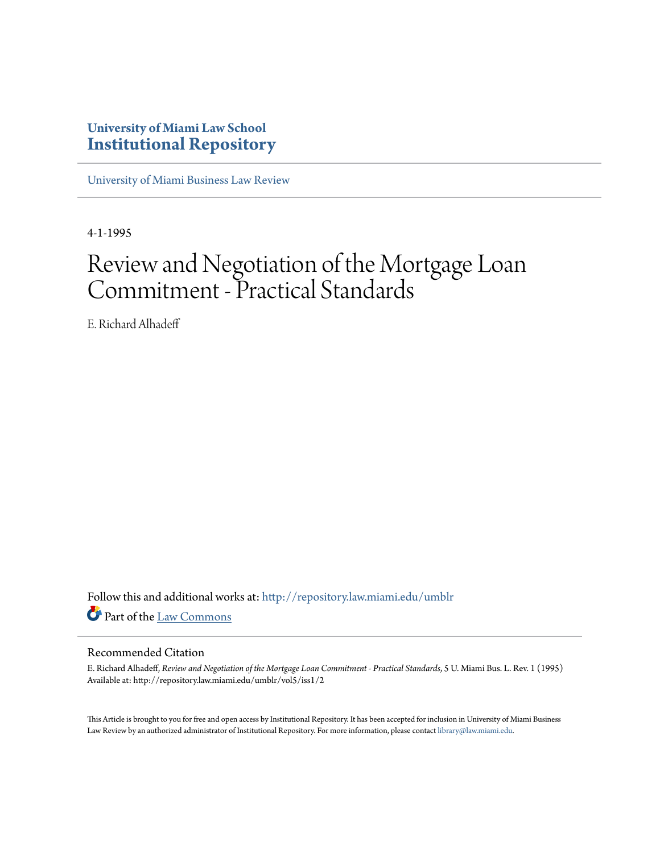# **University of Miami Law School [Institutional Repository](http://repository.law.miami.edu?utm_source=repository.law.miami.edu%2Fumblr%2Fvol5%2Fiss1%2F2&utm_medium=PDF&utm_campaign=PDFCoverPages)**

[University of Miami Business Law Review](http://repository.law.miami.edu/umblr?utm_source=repository.law.miami.edu%2Fumblr%2Fvol5%2Fiss1%2F2&utm_medium=PDF&utm_campaign=PDFCoverPages)

4-1-1995

# Review and Negotiation of the Mortgage Loan Commitment - Practical Standards

E. Richard Alhadeff

Follow this and additional works at: [http://repository.law.miami.edu/umblr](http://repository.law.miami.edu/umblr?utm_source=repository.law.miami.edu%2Fumblr%2Fvol5%2Fiss1%2F2&utm_medium=PDF&utm_campaign=PDFCoverPages) Part of the [Law Commons](http://network.bepress.com/hgg/discipline/578?utm_source=repository.law.miami.edu%2Fumblr%2Fvol5%2Fiss1%2F2&utm_medium=PDF&utm_campaign=PDFCoverPages)

# Recommended Citation

E. Richard Alhadeff, *Review and Negotiation of the Mortgage Loan Commitment - Practical Standards*, 5 U. Miami Bus. L. Rev. 1 (1995) Available at: http://repository.law.miami.edu/umblr/vol5/iss1/2

This Article is brought to you for free and open access by Institutional Repository. It has been accepted for inclusion in University of Miami Business Law Review by an authorized administrator of Institutional Repository. For more information, please contact [library@law.miami.edu.](mailto:library@law.miami.edu)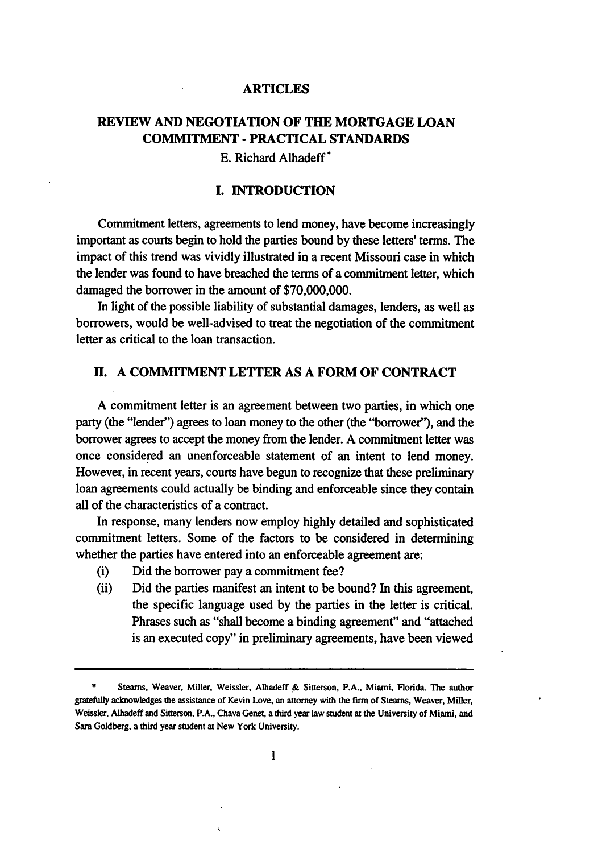#### **ARTICLES**

# **REVIEW AND NEGOTIATION OF THE MORTGAGE LOAN COMMITMENT - PRACTICAL STANDARDS**

**E.** Richard Alhadeff\*

#### **I. INTRODUCTION**

Commitment letters, agreements to lend money, have become increasingly important as courts begin to hold the parties bound **by** these letters' terms. The impact of this trend was vividly illustrated in a recent Missouri case in which the lender was found to have breached the terms of a commitment letter, which damaged the borrower in the amount of \$70,000,000.

In light of the possible liability of substantial damages, lenders, as well as borrowers, would be well-advised to treat the negotiation of the commitment letter as critical to the loan transaction.

# **H. A COMMITMENT LETTER AS A FORM OF CONTRACT**

**A** commitment letter is an agreement between two parties, in which one party (the "lender") agrees to loan money to the other (the "borrower"), and the borrower agrees to accept the money from the lender. **A** commitment letter was once considered an unenforceable statement of an intent to lend money. However, in recent years, courts have begun to recognize that these preliminary loan agreements could actually be binding and enforceable since they contain all of the characteristics of a contract.

In response, many lenders now employ **highly** detailed and sophisticated commitment letters. Some of the factors to be considered in determining whether the parties have entered into an enforceable agreement are:

- (i) Did the borrower pay a commitment fee?
- (ii) Did the parties manifest an intent to be bound? In this agreement, the specific language used by the parties in the letter is critical. Phrases such as "shall become a binding agreement" and "attached is an executed copy" in preliminary agreements, have been viewed

**<sup>\*</sup>** Steams, Weaver, Miller, Weissler, Alhadeff **.&** Sitterson, **P.A.,** Miami, Florida. The author gratefully acknowledges the assistance of Kevin Love, an attorney with the firm of Steams, Weaver, Miller, Weissler, Alhadeff and Sitterson, P.A., Chava Genet, a third year law student at the University of Miami, and Sara Goldberg, a third year student at New York University.

 $\mathbf{1}$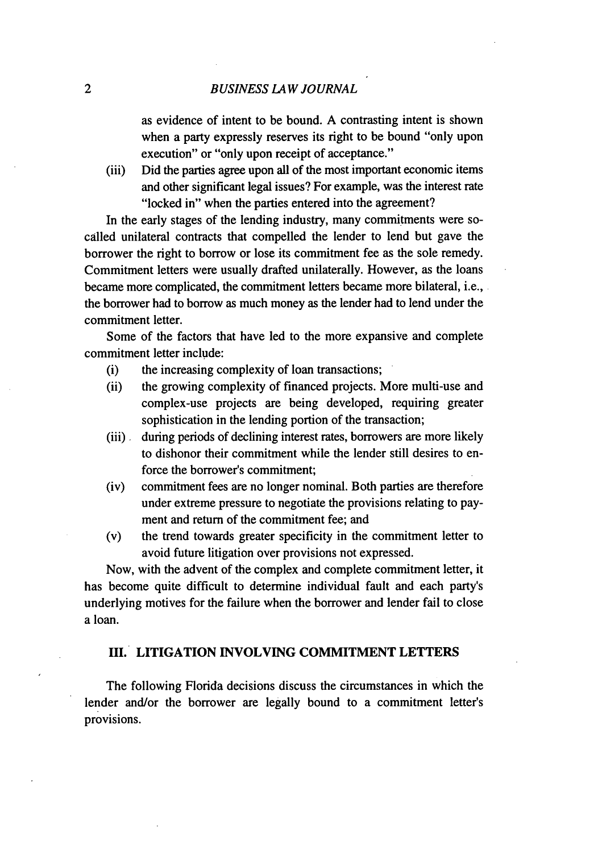as evidence of intent to be bound. A contrasting intent is shown when a party expressly reserves its right to be bound "only upon execution" or "only upon receipt of acceptance."

(iii) Did the parties agree upon all of the most important economic items and other significant legal issues? For example, was the interest rate "locked in" when the parties entered into the agreement?

In the early stages of the lending industry, many commitments were socalled unilateral contracts that compelled the lender to lend but gave the borrower the right to borrow or lose its commitment fee as the sole remedy. Commitment letters were usually drafted unilaterally. However, as the loans became more complicated, the commitment letters became more bilateral, i.e., the borrower had to borrow as much money as the lender had to lend under the commitment letter.

Some of the factors that have led to the more expansive and complete commitment letter include:

- (i) the increasing complexity of loan transactions;
- (ii) the growing complexity of financed projects. More multi-use and complex-use projects are being developed, requiring greater sophistication in the lending portion of the transaction;
- (iii). during periods of declining interest rates, borrowers are more likely to dishonor their commitment while the lender still desires to enforce the borrower's commitment;
- (iv) commitment fees are no longer nominal. Both parties are therefore under extreme pressure to negotiate the provisions relating to payment and return of the commitment fee; and
- (v) the trend towards greater specificity in the commitment letter to avoid future litigation over provisions not expressed.

Now, with the advent of the complex and complete commitment letter, it has become quite difficult to determine individual fault and each party's underlying motives for the failure when the borrower and lender fail to close a loan.

#### **III. LITIGATION INVOLVING COMMITMENT LETTERS**

The following Florida decisions discuss the circumstances in which the lender and/or the borrower are legally bound to a commitment letter's provisions.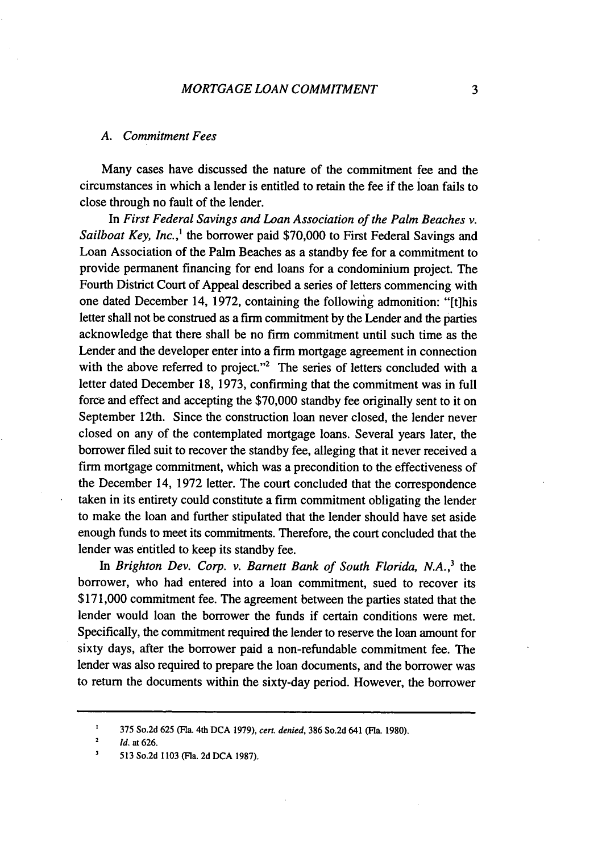#### *A. Commitment Fees*

Many cases have discussed the nature of the commitment fee and the circumstances in which a lender is entitled to retain the fee if the loan fails to close through no fault of the lender.

In *First Federal Savings and Loan Association of the Palm Beaches v. Sailboat Key, Inc.,'* the borrower paid \$70,000 to First Federal Savings and Loan Association of the Palm Beaches as a standby fee for a commitment to provide permanent financing for end loans for a condominium project. The Fourth District Court of Appeal described a series of letters commencing with one dated December 14, 1972, containing the following admonition: "[t]his letter shall not be construed as a firm commitment by the Lender and the parties acknowledge that there shall be no firm commitment until such time as the Lender and the developer enter into a firm mortgage agreement in connection with the above referred to project."<sup>2</sup> The series of letters concluded with a letter dated December 18, 1973, confirming that the commitment was in full force and effect and accepting the \$70,000 standby fee originally sent to it on September 12th. Since the construction loan never closed, the lender never closed on any of the contemplated mortgage loans. Several years later, the borrower filed suit to recover the standby fee, alleging that it never received a firm mortgage commitment, which was a precondition to the effectiveness of the December 14, 1972 letter. The court concluded that the correspondence taken in its entirety could constitute a firm commitment obligating the lender to make the loan and further stipulated that the lender should have set aside enough funds to meet its commitments. Therefore, the court concluded that the lender was entitled to keep its standby fee.

In *Brighton Dev. Corp. v. Barnett Bank of South Florida, N.A.*<sup>3</sup> the borrower, who had entered into a loan commitment, sued to recover its \$171,000 commitment fee. The agreement between the parties stated that the lender would loan the borrower the funds if certain conditions were met. Specifically, the commitment required the lender to reserve the loan amount for sixty days, after the borrower paid a non-refundable commitment fee. The lender was also required to prepare the loan documents, and the borrower was to return the documents within the sixty-day period. However, the borrower

**<sup>1</sup>** 375 So.2d 625 (Fla. 4th **DCA** 1979), *cert. denied,* **386** So.2d 641 (Fla. **1980).**

<sup>2</sup> *Id.* at 626.

**<sup>3</sup>** 513 So.2d **1103** (Fla. 2d DCA 1987).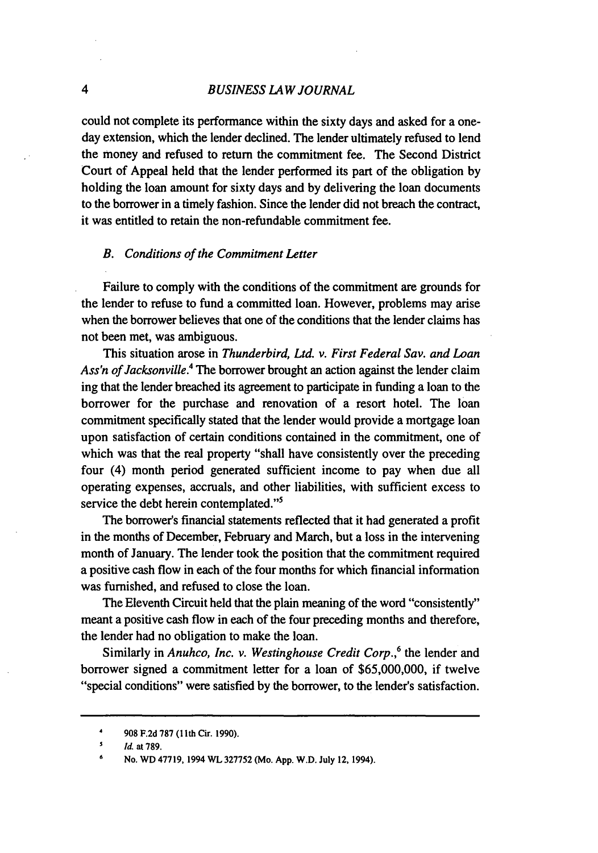# *BUSINESS LAW JOURNAL*

could not complete its performance within the sixty days and asked for a oneday extension, which the lender declined. The lender ultimately refused to lend the money and refused to return the commitment fee. The Second District Court of Appeal held that the lender performed its part of the obligation by holding the loan amount for sixty days and by delivering the loan documents to the borrower in a timely fashion. Since the lender did not breach the contract, it was entitled to retain the non-refundable commitment fee.

#### *B. Conditions of the Commitment Letter*

Failure to comply with the conditions of the commitment are grounds for the lender to refuse to fund a committed loan. However, problems may arise when the borrower believes that one of the conditions that the lender claims has not been met, was ambiguous.

This situation arose in *Thunderbird, Ltd. v. First Federal* Sav. *and Loan Ass'n of Jacksonville.4* The borrower brought an action against the lender claim ing that the lender breached its agreement to participate in funding a loan to the borrower for the purchase and renovation of a resort hotel. The loan commitment specifically stated that the lender would provide a mortgage loan upon satisfaction of certain conditions contained in the commitment, one of which was that the real property "shall have consistently over the preceding four (4) month period generated sufficient income to pay when due all operating expenses, accruals, and other liabilities, with sufficient excess to service the debt herein contemplated."<sup>5</sup>

The borrower's financial statements reflected that it had generated a profit in the months of December, February and March, but a loss in the intervening month of January. The lender took the position that the commitment required a positive cash flow in each of the four months for which financial information was furnished, and refused to close the loan.

The Eleventh Circuit held that the plain meaning of the word "consistently" meant a positive cash flow in each of the four preceding months and therefore, the lender had no obligation to make the loan.

Similarly in *Anuhco, Inc. v. Westinghouse Credit Corp.,6* the lender and borrower signed a commitment letter for a loan of \$65,000,000, if twelve "special conditions" were satisfied by the borrower, to the lender's satisfaction.

 $\overline{\mathbf{4}}$ 

<sup>4</sup>**908 F.2d 787 (1Ilth** Cir. **1990).**

**<sup>5</sup> Id. at 789.**

**<sup>6</sup>No. WD 47719, 1994 WL 327752 (Mo. App. W.D. July 12, 1994).**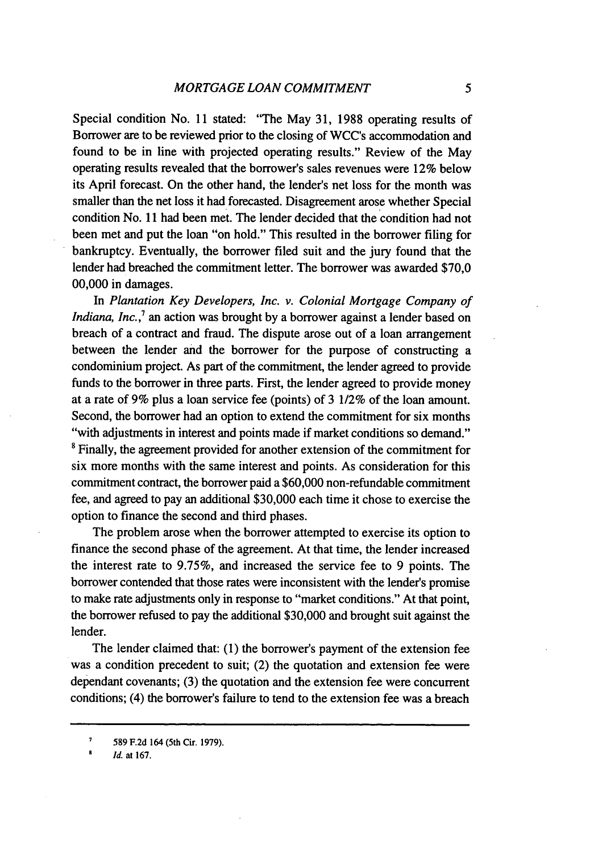Special condition No. 11 stated: "The May 31, 1988 operating results of Borrower are to be reviewed prior to the closing of WCC's accommodation and found to be in line with projected operating results." Review of the May operating results revealed that the borrower's sales revenues were 12% below its April forecast. On the other hand, the lender's net loss for the month was smaller than the net loss it had forecasted. Disagreement arose whether Special condition No. **11** had been met. The lender decided that the condition had not been met and put the loan "on hold." This resulted in the borrower filing for bankruptcy. Eventually, the borrower filed suit and the jury found that the lender had breached the commitment letter. The borrower was awarded **\$70,0** 00,000 in damages.

In *Plantation Key Developers, Inc. v. Colonial Mortgage Company of Indiana, Inc.*,<sup>7</sup> an action was brought by a borrower against a lender based on breach of a contract and fraud. The dispute arose out of a loan arrangement between the lender and the borrower for the purpose of constructing a condominium project. As part of the commitment, the lender agreed to provide funds to the borrower in three parts. First, the lender agreed to provide money at a rate of 9% plus a loan service fee (points) of 3 1/2% of the loan amount. Second, the borrower had an option to extend the commitment for six months "with adjustments in interest and points made if market conditions so demand." <sup>8</sup> Finally, the agreement provided for another extension of the commitment for six more months with the same interest and points. As consideration for this commitment contract, the borrower paid a \$60,000 non-refundable commitment fee, and agreed to pay an additional \$30,000 each time it chose to exercise the option to finance the second and third phases.

The problem arose when the borrower attempted to exercise its option to finance the second phase of the agreement. At that time, the lender increased the interest rate to 9.75%, and increased the service fee to 9 points. The borrower contended that those rates were inconsistent with the lender's promise to make rate adjustments only in response to "market conditions." At that point, the borrower refused to pay the additional \$30,000 and brought suit against the lender.

The lender claimed that: **(1)** the borrower's payment of the extension fee was a condition precedent to suit; (2) the quotation and extension fee were dependant covenants; (3) the quotation and the extension fee were concurrent conditions; (4) the borrower's failure to tend to the extension fee was a breach

**<sup>7</sup>**589 F.2d 164 (5th Cir. 1979). **<sup>a</sup>***Id.* at 167.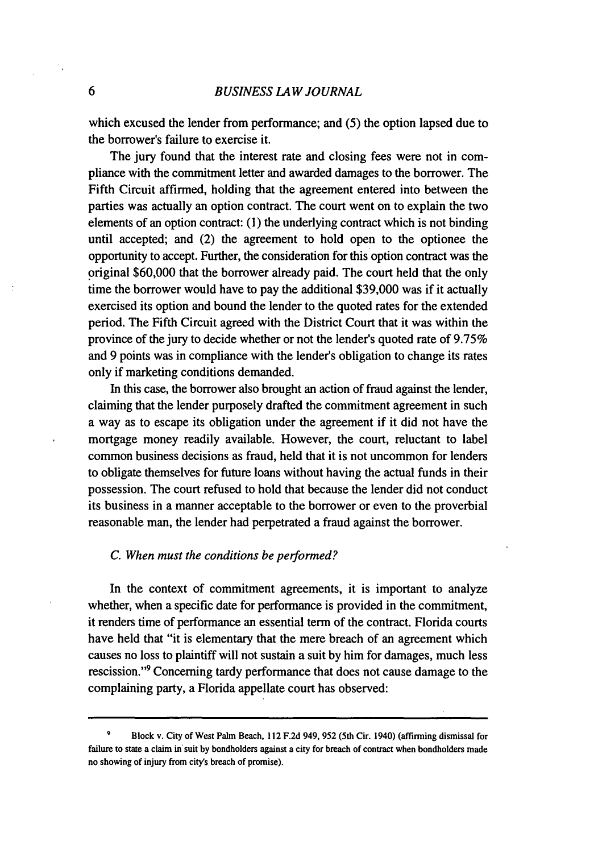6

which excused the lender from performance; and (5) the option lapsed due to the borrower's failure to exercise it.

The jury found that the interest rate and closing fees were not in compliance with the commitment letter and awarded damages to the borrower. The Fifth Circuit affirmed, holding that the agreement entered into between the parties was actually an option contract. The court went on to explain the two elements of an option contract: (1) the underlying contract which is not binding until accepted; and (2) the agreement to hold open to the optionee the opportunity to accept. Further, the consideration for this option contract was the original \$60,000 that the borrower already paid. The court held that the only time the borrower would have to pay the additional \$39,000 was if it actually exercised its option and bound the lender to the quoted rates for the extended period. The Fifth Circuit agreed with the District Court that it was within the province of the jury to decide whether or not the lender's quoted rate of 9.75% and 9 points was in compliance with the lender's obligation to change its rates only if marketing conditions demanded.

In this case, the borrower also brought an action of fraud against the lender, claiming that the lender purposely drafted the commitment agreement in such a way as to escape its obligation under the agreement if it did not have the mortgage money readily available. However, the court, reluctant to label common business decisions as fraud, held that it is not uncommon for lenders to obligate themselves for future loans without having the actual funds in their possession. The court refused to hold that because the lender did not conduct its business in a manner acceptable to the borrower or even to the proverbial reasonable man, the lender had perpetrated a fraud against the borrower.

#### *C. When must the conditions be performed?*

In the context of commitment agreements, it is important to analyze whether, when a specific date for performance is provided in the commitment, it renders time of performance an essential term of the contract. Florida courts have held that "it is elementary that the mere breach of an agreement which causes no loss to plaintiff will not sustain a suit **by** him for damages, much less rescission."9 Concerning tardy performance that does not cause damage to the complaining party, a Florida appellate court has observed:

**<sup>9</sup>**Block v. City of West Palm Beach, 112 F.2d 949, **952** (5th Cir. 1940) (affuming dismissal for failure to state a claim in suit by bondholders against a city for breach of contract when bondholders made no showing of injury from city's breach of promise).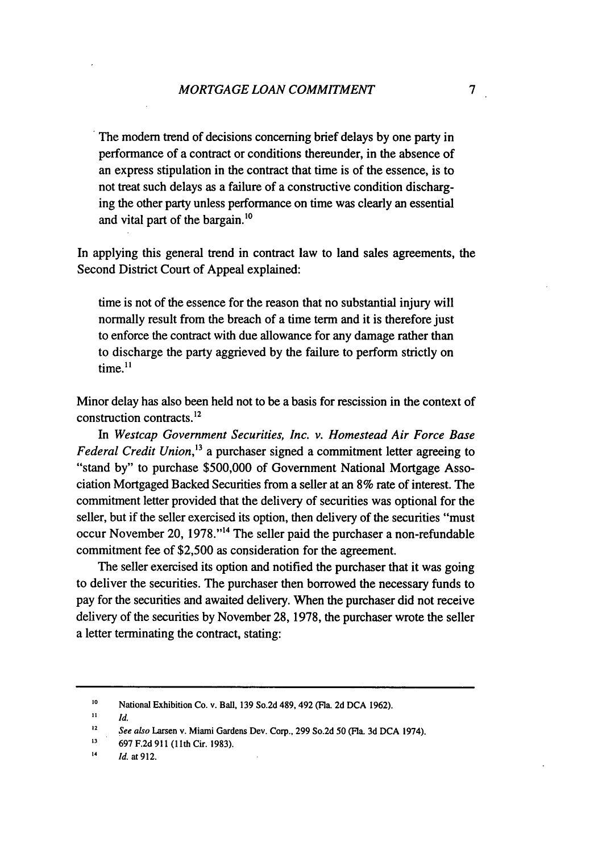The modem trend of decisions concerning brief delays by one party in performance of a contract or conditions thereunder, in the absence of an express stipulation in the contract that time is of the essence, is to not treat such delays as a failure of a constructive condition discharging the other party unless performance on time was clearly an essential and vital part of the bargain.'<sup>0</sup>

In applying this general trend in contract law to land sales agreements, the Second District Court of Appeal explained:

time is not of the essence for the reason that no substantial injury will normally result from the breach of a time term and it is therefore just to enforce the contract with due allowance for any damage rather than to discharge the party aggrieved by the failure to perform strictly on time. $11$ 

Minor delay has also been held not to be a basis for rescission in the context of construction contracts.12

*In Westcap Government Securities, Inc. v. Homestead Air Force Base Federal Credit Union*,<sup>13</sup> a purchaser signed a commitment letter agreeing to "stand by" to purchase \$500,000 of Government National Mortgage Association Mortgaged Backed Securities from a seller at an 8% rate of interest. The commitment letter provided that the delivery of securities was optional for the seller, but if the seller exercised its option, then delivery of the securities "must occur November 20, 1978."<sup>14</sup> The seller paid the purchaser a non-refundable commitment fee of \$2,500 as consideration for the agreement.

The seller exercised its option and notified the purchaser that it was going to deliver the securities. The purchaser then borrowed the necessary funds to pay for the securities and awaited delivery. When the purchaser did not receive delivery of the securities by November 28, 1978, the purchaser wrote the seller a letter terminating the contract, stating:

**<sup>10</sup>** National Exhibition Co. v. Ball, **139** So.2d 489, 492 (Fla. 2d DCA 1962).

 $\mathbf{H}$ **I1** *Id.*

**<sup>12</sup>** *See also* Larsen v. Miami Gardens Dev. Corp., **299** So.2d 50 (Fla. **3d DCA** 1974).

**<sup>13</sup>** 697 **F.2d 911** (11th Cir. 1983).

<sup>14</sup> *Id.* at 912.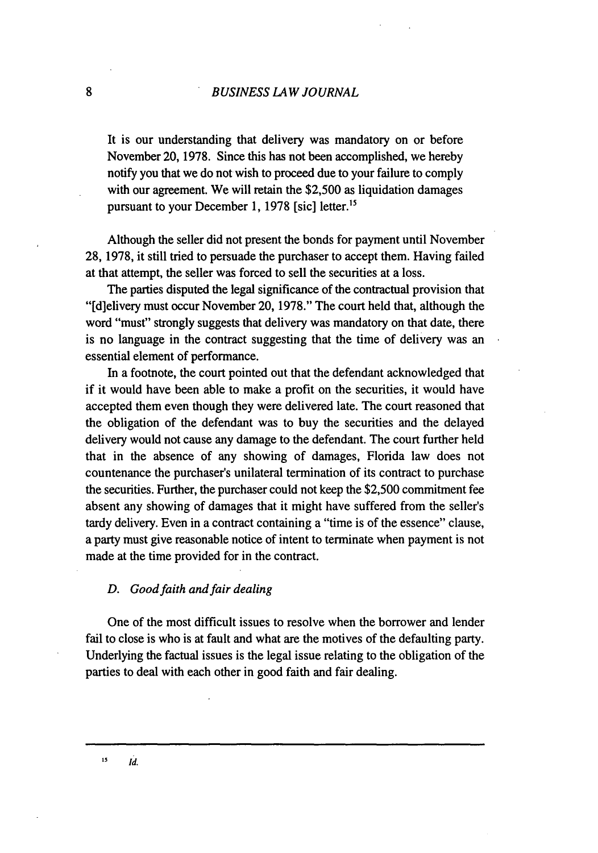It is our understanding that delivery was mandatory on or before November 20, 1978. Since this has not been accomplished, we hereby notify you that we do not wish to proceed due to your failure to comply with our agreement. We will retain the \$2,500 as liquidation damages pursuant to your December 1, 1978 [sic] letter.<sup>15</sup>

Although the seller did not present the bonds for payment until November 28, 1978, it still tried to persuade the purchaser to accept them. Having failed at that attempt, the seller was forced to sell the securities at a loss.

The parties disputed the legal significance of the contractual provision that "[d]elivery must occur November 20, 1978." The court held that, although the word "must" strongly suggests that delivery was mandatory on that date, there is no language in the contract suggesting that the time of delivery was an essential element of performance.

In a footnote, the court pointed out that the defendant acknowledged that if it would have been able to make a profit on the securities, it would have accepted them even though they were delivered late. The court reasoned that the obligation of the defendant was to buy the securities and the delayed delivery would not cause any damage to the defendant. The court further held that in the absence of any showing of damages, Florida law does not countenance the purchaser's unilateral termination of its contract to purchase the securities. Further, the purchaser could not keep the \$2,500 commitment fee absent any showing of damages that it might have suffered from the seller's tardy delivery. Even in a contract containing a "time is of the essence" clause, a party must give reasonable notice of intent to terminate when payment is not made at the time provided for in the contract.

### *D. Good faith and fair dealing*

One of the most difficult issues to resolve when the borrower and lender fail to close is who is at fault and what are the motives of the defaulting party. Underlying the factual issues is the legal issue relating to the obligation of the parties to deal with each other in good faith and fair dealing.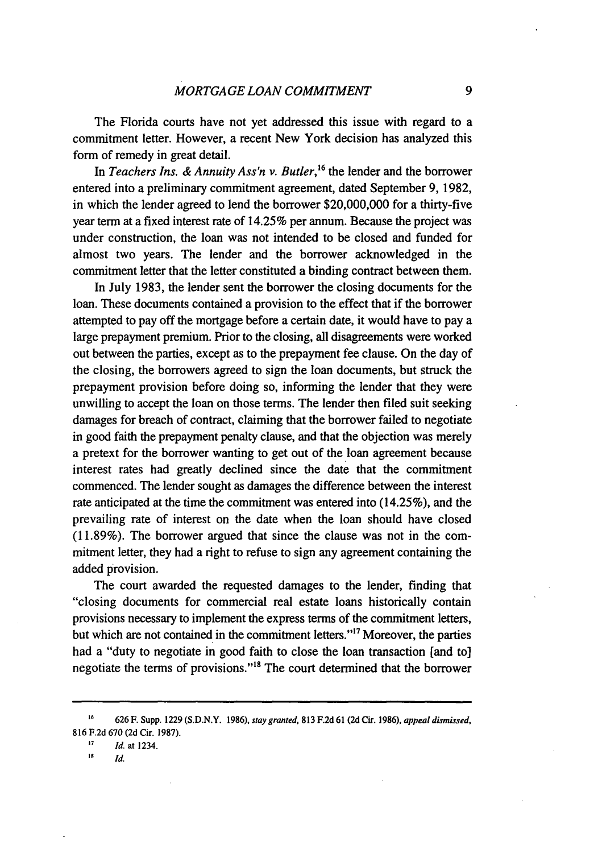The Florida courts have not yet addressed this issue with regard to a commitment letter. However, a recent New York decision has analyzed this form of remedy in great detail.

In *Teachers Ins. & Annuity Ass'n v. Butler*,<sup>16</sup> the lender and the borrower entered into a preliminary commitment agreement, dated September 9, 1982, in which the lender agreed to lend the borrower \$20,000,000 for a thirty-five year term at a fixed interest rate of 14.25% per annum. Because the project was under construction, the loan was not intended to be closed and funded for almost two years. The lender and the borrower acknowledged in the commitment letter that the letter constituted a binding contract between them.

In July 1983, the lender sent the borrower the closing documents for the loan. These documents contained a provision to the effect that if the borrower attempted to pay off the mortgage before a certain date, it would have to pay a large prepayment premium. Prior to the closing, all disagreements were worked out between the parties, except as to the prepayment fee clause. On the day of the closing, the borrowers agreed to sign the loan documents, but struck the prepayment provision before doing so, informing the lender that they were unwilling to accept the loan on those terms. The lender then filed suit seeking damages for breach of contract, claiming that the borrower failed to negotiate in good faith the prepayment penalty clause, and that the objection was merely a pretext for the borrower wanting to get out of the loan agreement because interest rates had greatly declined since the date that the commitment commenced. The lender sought as damages the difference between the interest rate anticipated at the time the commitment was entered into (14.25%), and the prevailing rate of interest on the date when the loan should have closed (11.89%). The borrower argued that since the clause was not in the commitment letter, they had a right to refuse to sign any agreement containing the added provision.

The court awarded the requested damages to the lender, finding that "closing documents for commercial real estate loans historically contain provisions necessary to implement the express terms of the commitment letters, but which are not contained in the commitment letters."<sup>17</sup> Moreover, the parties had a "duty to negotiate in good faith to close the loan transaction [and to] negotiate the terms of provisions."<sup>18</sup> The court determined that the borrower

**'7** *Id.* at 1234.

**<sup>16</sup>**626 F. Supp. **1229** (S.D.N.Y. 1986), stay granted, **813** F.2d 61 **(2d** Cir. 1986), *appeal dismissed,* 816 F.2d 670 (2d Cir. 1987).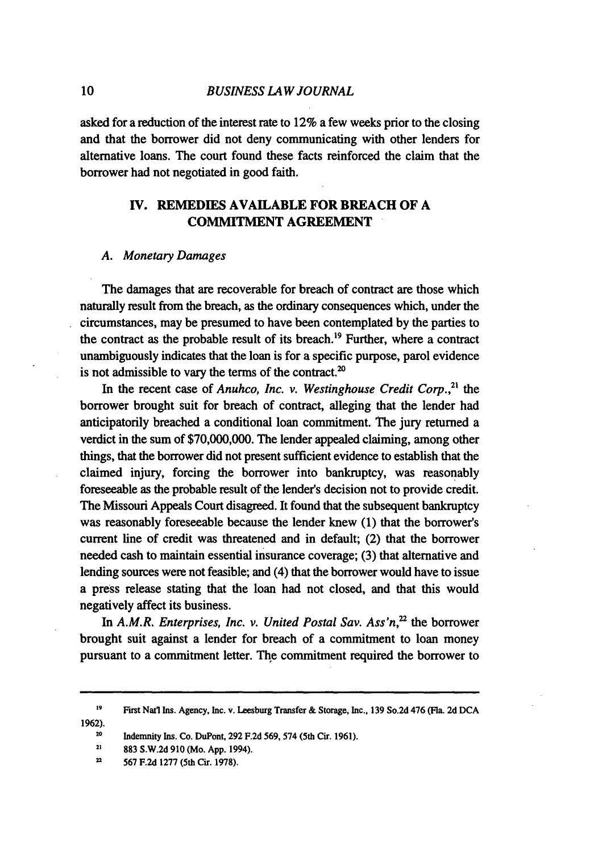asked for a reduction of the interest rate to 12% a few weeks prior to the closing and that the borrower did not deny communicating with other lenders for alternative loans. The court found these facts reinforced the claim that the borrower had not negotiated in good faith.

# **IV. REMEDIES AVAILABLE FOR BREACH OF A COMMITMENT AGREEMENT**

# *A. Monetary Damages*

The damages that are recoverable for breach of contract are those which naturally result from the breach, as the ordinary consequences which, under the circumstances, may be presumed to have been contemplated by the parties to the contract as the probable result of its breach.19 Further, where a contract unambiguously indicates that the loan is for a specific purpose, parol evidence is not admissible to vary the terms of the contract.<sup>20</sup>

In the recent case of *Anuhco, Inc. v. Westinghouse Credit Corp.*<sup>21</sup> the borrower brought suit for breach of contract, alleging that the lender had anticipatorily breached a conditional loan commitment. The jury returned a verdict in the sum of \$70,000,000. The lender appealed claiming, among other things, that the borrower did not present sufficient evidence to establish that the claimed injury, forcing the borrower into bankruptcy, was reasonably foreseeable as the probable result of the lender's decision not to provide credit. The Missouri Appeals Court disagreed. It found that the subsequent bankruptcy was reasonably foreseeable because the lender knew (1) that the borrower's current line of credit was threatened and in default; (2) that the borrower needed cash to maintain essential insurance coverage; (3) that alternative and lending sources were not feasible; and (4) that the borrower would have to issue a press release stating that the loan had not closed, and that this would negatively affect its business.

In *A.M.R. Enterprises, Inc. v. United Postal Sav. Ass'n,'2* the borrower brought suit against a lender for breach of a commitment to loan money pursuant to a commitment letter. The commitment required the borrower to

**19 First Natl Ins. Agency, Inc. v. Leesburg Transfer & Storage, Inc., 139 So.2d 476 (Fla. 2d DCA 1962).**

**<sup>20</sup>**Indemnity Ins. **Co. DuPont, 292 F.2d 569, 574** (5th Cir. **1961).**

10

**<sup>21</sup>883 S.W.2d 910 (Mo. App.** 1994).

<sup>2</sup>**567 F.2d 1277 (5th Cir. 1978).**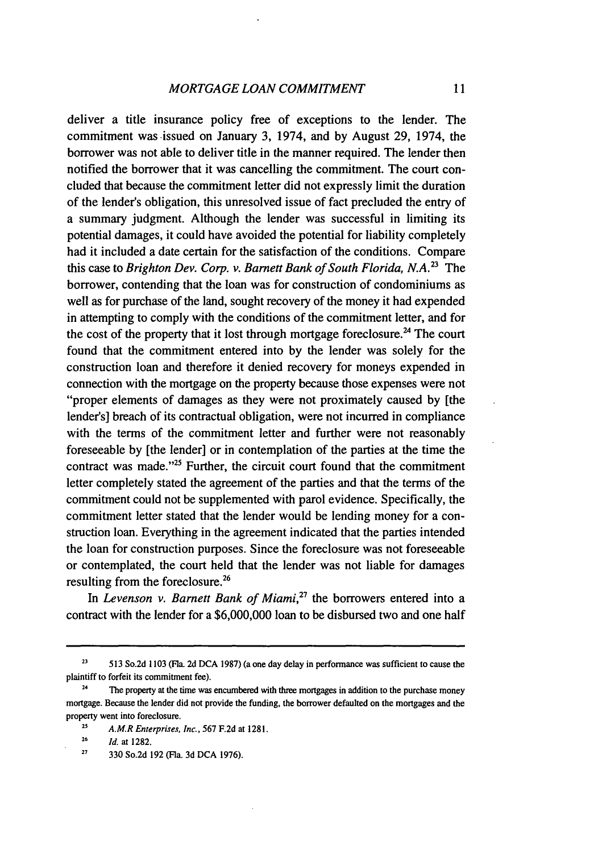deliver a title insurance policy free of exceptions to the lender. The commitment was issued on January 3, 1974, and by August 29, 1974, the borrower was not able to deliver title in the manner required. The lender then notified the borrower that it was cancelling the commitment. The court concluded that because the commitment letter did not expressly limit the duration of the lender's obligation, this unresolved issue of fact precluded the entry of a summary judgment. Although the lender was successful in limiting its potential damages, it could have avoided the potential for liability completely had it included a date certain for the satisfaction of the conditions. Compare this case to *Brighton Dev. Corp. v. Barnett Bank of South Florida, N.A.*<sup>23</sup> The borrower, contending that the loan was for construction of condominiums as well as for purchase of the land, sought recovery of the money it had expended in attempting to comply with the conditions of the commitment letter, and for the cost of the property that it lost through mortgage foreclosure.<sup>24</sup> The court found that the commitment entered into by the lender was solely for the construction loan and therefore it denied recovery for moneys expended in connection with the mortgage on the property because those expenses were not "proper elements of damages as they were not proximately caused by [the lender's] breach of its contractual obligation, were not incurred in compliance with the terms of the commitment letter and further were not reasonably foreseeable by [the lender] or in contemplation of the parties at the time the contract was made."'25 Further, the circuit court found that the commitment letter completely stated the agreement of the parties and that the terms of the commitment could not be supplemented with parol evidence. Specifically, the commitment letter stated that the lender would be lending money for a construction loan. Everything in the agreement indicated that the parties intended the loan for construction purposes. Since the foreclosure was not foreseeable or contemplated, the court held that the lender was not liable for damages resulting from the foreclosure.26

In *Levenson v. Barnett Bank of Miami,27* the borrowers entered into a contract with the lender for a \$6,000,000 loan to be disbursed two and one half

**<sup>23</sup>** 513 So.2d 1103 (Fla. 2d **DCA** 1987) (a one day delay in performance was sufficient to cause the plaintiff to forfeit its commitment fee).

**<sup>24</sup>** The property at the time was encumbered with three mortgages in addition to the purchase money mortgage. Because the lender did not provide the funding, the borrower defaulted on the mortgages and the property went into foreclosure.

**<sup>23</sup>** *A.M.R Enterprises, Inc.,* 567 F.2d at 1281.

**<sup>26</sup>** *Id.* at 1282.

**<sup>27</sup>** 330 So.2d **192** (Fla. 3d **DCA 1976).**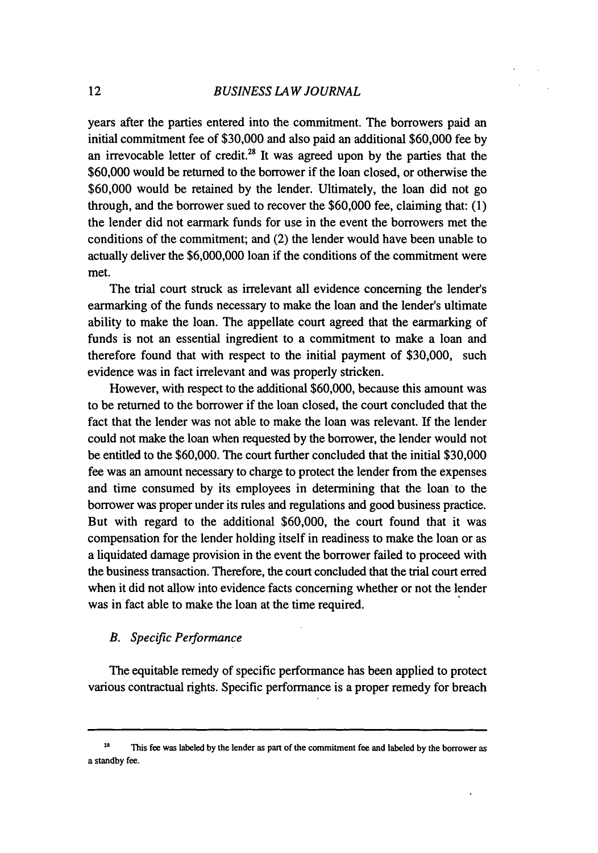years after the parties entered into the commitment. The borrowers paid an initial commitment fee of \$30,000 and also paid an additional \$60,000 fee by an irrevocable letter of credit.<sup>28</sup> It was agreed upon by the parties that the \$60,000 would be returned to the borrower if the loan closed, or otherwise the \$60,000 would be retained by the lender. Ultimately, the loan did not go through, and the borrower sued to recover the \$60,000 fee, claiming that: (1) the lender did not earmark funds for use in the event the borrowers met the conditions of the commitment; and (2) the lender would have been unable to actually deliver the \$6,000,000 loan if the conditions of the commitment were met.

The trial court struck as irrelevant all evidence concerning the lender's earmarking of the funds necessary to make the loan and the lender's ultimate ability to make the loan. The appellate court agreed that the earmarking of funds is not an essential ingredient to a commitment to make a loan and therefore found that with respect to the initial payment of \$30,000, such evidence was in fact irrelevant and was properly stricken.

However, with respect to the additional \$60,000, because this amount was to be returned to the borrower if the loan closed, the court concluded that the fact that the lender was not able to make the loan was relevant. If the lender could not make the loan when requested by the borrower, the lender would not be entitled to the \$60,000. The court further concluded that the initial \$30,000 fee was an amount necessary to charge to protect the lender from the expenses and time consumed by its employees in determining that the loan to the borrower was proper under its rules and regulations and good business practice. But with regard to the additional \$60,000, the court found that it was compensation for the lender holding itself in readiness to make the loan or as a liquidated damage provision in the event the borrower failed to proceed with the business transaction. Therefore, the court concluded that the trial court erred when it did not allow into evidence facts concerning whether or not the lender was in fact able to make the loan at the time required.

#### *B. Specific Performance*

The equitable remedy of specific performance has been applied to protect various contractual rights. Specific performance is a proper remedy for breach

<sup>29</sup> This fee was labeled **by** the lender as part of the commitment fee and labeled **by** the borrower as a standby fee.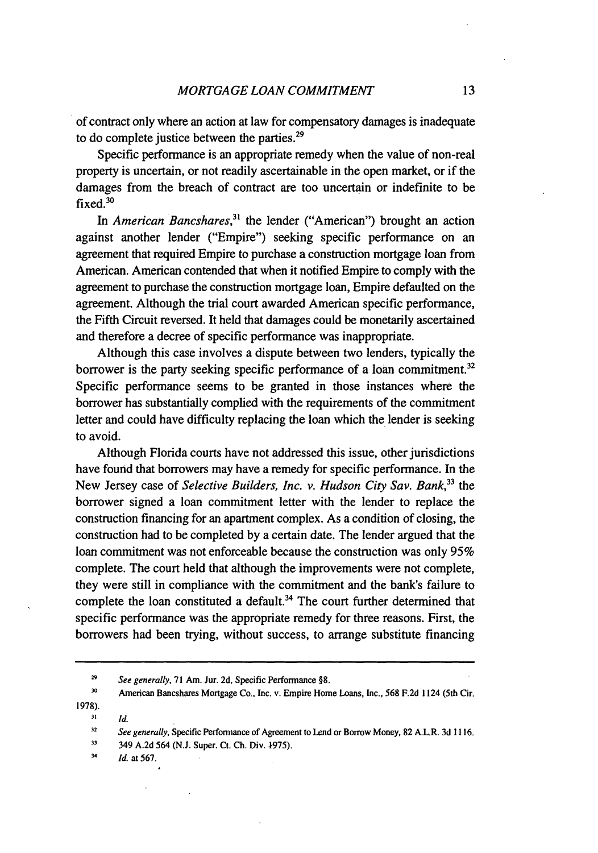of contract only where an action at law for compensatory damages is inadequate to do complete justice between the parties.<sup>29</sup>

Specific performance is an appropriate remedy when the value of non-real property is uncertain, or not readily ascertainable in the open market, or if the damages from the breach of contract are too uncertain or indefinite to be fixed.30

In *American Bancshares,31* the lender ("American") brought an action against another lender ("Empire") seeking specific performance on an agreement that required Empire to purchase a construction mortgage loan from American. American contended that when it notified Empire to comply with the agreement to purchase the construction mortgage loan, Empire defaulted on the agreement. Although the trial court awarded American specific performance, the Fifth Circuit reversed. It held that damages could be monetarily ascertained and therefore a decree of specific performance was inappropriate.

Although this case involves a dispute between two lenders, typically the borrower is the party seeking specific performance of a loan commitment.<sup>32</sup> Specific performance seems to be granted in those instances where the borrower has substantially complied with the requirements of the commitment letter and could have difficulty replacing the loan which the lender is seeking to avoid.

Although Florida courts have not addressed this issue, other jurisdictions have found that borrowers may have a remedy for specific performance. In the New Jersey case of *Selective Builders, Inc. v. Hudson City Sav. Bank,33 the* borrower signed a loan commitment letter with the lender to replace the construction financing for an apartment complex. As a condition of closing, the construction had to be completed by a certain date. The lender argued that the loan commitment was not enforceable because the construction was only 95% complete. The court held that although the improvements were not complete, they were still in compliance with the commitment and the bank's failure to complete the loan constituted a default.<sup>34</sup> The court further determined that specific performance was the appropriate remedy for three reasons. First, the borrowers had been trying, without success, to arrange substitute financing

**31** *Id.*

**<sup>29</sup>** *See generally,* 71 Am. Jur. 2d, Specific Performance §8.

**<sup>30</sup>** American Bancshares Mortgage Co., Inc. v. Empire Home Loans, Inc., **568 F.2d** 1124 (5th Cir. 1978).

**<sup>32</sup>** *See generally,* Specific Performance of Agreement to Lend or Borrow Money, **82** A.L.R. 3d 1116.

<sup>33 349</sup> A.2d 564 (N.J. Super. Ct. Ch. Div.  $1975$ ).

<sup>34</sup> *Id.* at 567.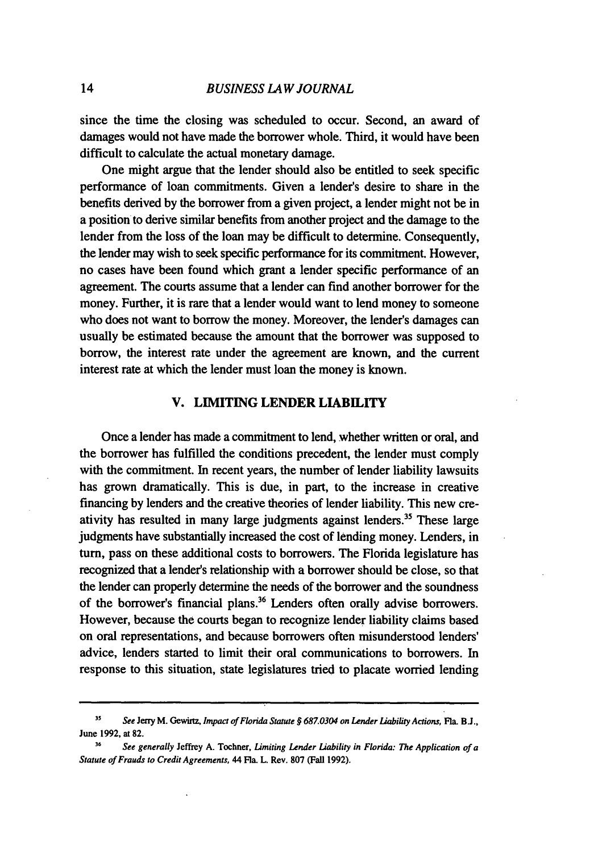since the time the closing was scheduled to occur. Second, an award of damages would not have made the borrower whole. Third, it would have been difficult to calculate the actual monetary damage.

One might argue that the lender should also be entitled to seek specific performance of loan commitments. Given a lender's desire to share in the benefits derived by the borrower from a given project, a lender might not be in a position to derive similar benefits from another project and the damage to the lender from the loss of the loan may be difficult to determine. Consequently, the lender may wish to seek specific performance for its commitment. However, no cases have been found which grant a lender specific performance of an agreement. The courts assume that a lender can find another borrower for the money. Further, it is rare that a lender would want to lend money to someone who does not want to borrow the money. Moreover, the lender's damages can usually be estimated because the amount that the borrower was supposed to borrow, the interest rate under the agreement are known, and the current interest rate at which the lender must loan the money is known.

# **V. LIMITING LENDER LIABILITY**

Once a lender has made a commitment to lend, whether written or oral, and the borrower has fulfilled the conditions precedent, the lender must comply with the commitment. In recent years, the number of lender liability lawsuits has grown dramatically. This is due, in part, to the increase in creative financing by lenders and the creative theories of lender liability. This new creativity has resulted in many large judgments against lenders.<sup>35</sup> These large judgments have substantially increased the cost of lending money. Lenders, in turn, pass on these additional costs to borrowers. The Florida legislature has recognized that a lender's relationship with a borrower should be close, so that the lender can properly determine the needs of the borrower and the soundness of the borrower's financial plans.<sup>36</sup> Lenders often orally advise borrowers. However, because the courts began to recognize lender liability claims based on oral representations, and because borrowers often misunderstood lenders' advice, lenders started to limit their oral communications to borrowers. In response to this situation, state legislatures tried to placate worried lending

*<sup>35</sup>* See **Jerry M. Gewirtz,** Impact of Florida Statute *§* **6870304** on *Lender Liability Actions, Fla.* **B.J., June 1992, at 82.**

**<sup>36</sup>** See **generally Jeffrey A. Tochner,** Limiting **Lender** Liability **in Florida: The Application of** a Statute of Frauds to *Credit* Agreements, **44 Fla. L. Rev. 807 (Fall 1992).**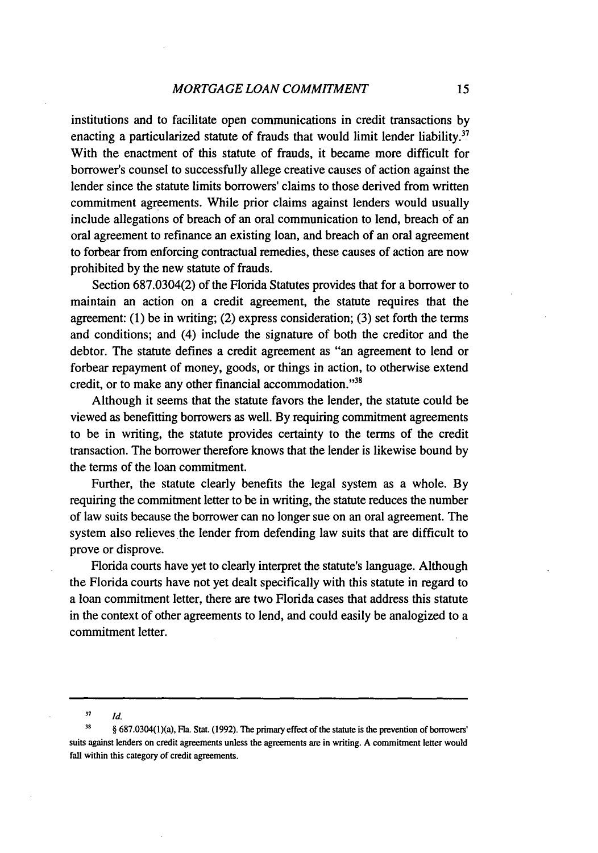institutions and to facilitate open communications in credit transactions by enacting a particularized statute of frauds that would limit lender liability.<sup>37</sup> With the enactment of this statute of frauds, it became more difficult for borrower's counsel to successfully allege creative causes of action against the lender since the statute limits borrowers' claims to those derived from written commitment agreements. While prior claims against lenders would usually include allegations of breach of an oral communication to lend, breach of an oral agreement to refinance an existing loan, and breach of an oral agreement to forbear from enforcing contractual remedies, these causes of action are now prohibited by the new statute of frauds.

Section 687.0304(2) of the Florida Statutes provides that for a borrower to maintain an action on a credit agreement, the statute requires that the agreement: (1) be in writing; (2) express consideration; (3) set forth the terms and conditions; and (4) include the signature of both the creditor and the debtor. The statute defines a credit agreement as "an agreement to lend or forbear repayment of money, goods, or things in action, to otherwise extend credit, or to make any other financial accommodation."<sup>38</sup>

Although it seems that the statute favors the lender, the statute could be viewed as benefitting borrowers as well. By requiring commitment agreements to be in writing, the statute provides certainty to the terms of the credit transaction. The borrower therefore knows that the lender is likewise bound by the terms of the loan commitment.

Further, the statute clearly benefits the legal system as a whole. By requiring the commitment letter to be in writing, the statute reduces the number of law suits because the borrower can no longer sue on an oral agreement. The system also relieves the lender from defending law suits that are difficult to prove or disprove.

Florida courts have yet to clearly interpret the statute's language. Although the Florida courts have not yet dealt specifically with this statute in regard to a loan commitment letter, there are two Florida cases that address this statute in the context of other agreements to lend, and could easily be analogized to a commitment letter.

**<sup>37</sup>** *Id.*

**<sup>39</sup>** § 687.0304(1)(a), Fla. Stat. (1992). The primary effect of the statute is the prevention **of** bonowers' suits against lenders on credit agreements unless the agreements are in writing. A commitment letter would fall within this category of credit agreements.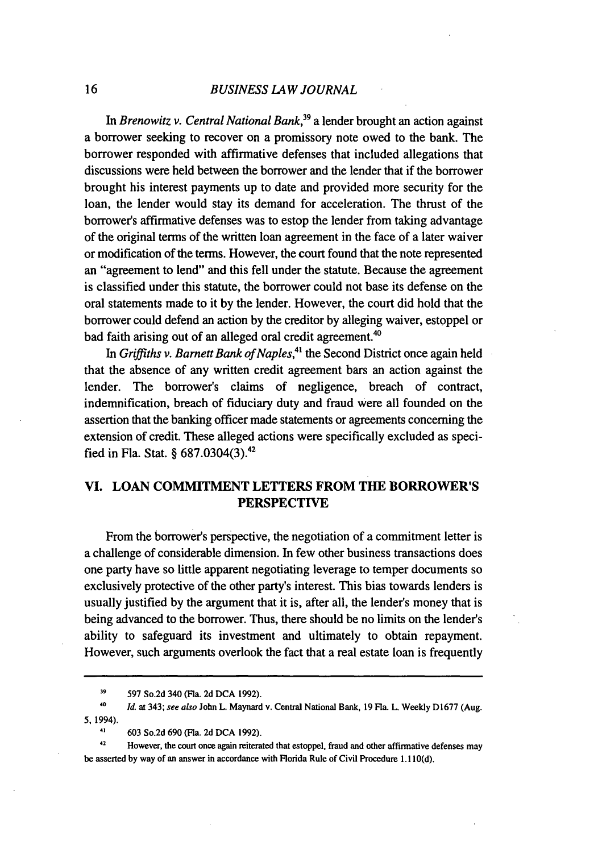#### *BUSINESS LAW JOURNAL*

In *Brenowitz v. Central National Bank,39* a lender brought an action against a borrower seeking to recover on a promissory note owed to the bank. The borrower responded with affirmative defenses that included allegations that discussions were held between the borrower and the lender that if the borrower brought his interest payments up to date and provided more security for the loan, the lender would stay its demand for acceleration. The thrust of the borrower's affirmative defenses was to estop the lender from taking advantage of the original terms of the written loan agreement in the face of a later waiver or modification of the terms. However, the court found that the note represented an "agreement to lend" and this fell under the statute. Because the agreement is classified under this statute, the borrower could not base its defense on the oral statements made to it by the lender. However, the court did hold that the borrower could defend an action by the creditor by alleging waiver, estoppel or bad faith arising out of an alleged oral credit agreement.<sup>40</sup>

*In Griffiths v. Barnett Bank of Naples,41* the Second District once again held that the absence of any written credit agreement bars an action against the lender. The borrower's claims of negligence, breach of contract, indemnification, breach of fiduciary duty and fraud were all founded on the assertion that the banking officer made statements or agreements concerning the extension of credit. These alleged actions were specifically excluded as specified in Fla. Stat. § 687.0304(3).42

# VI. LOAN COMMITMENT LETTERS FROM THE BORROWER'S PERSPECTIVE

From the borrower's perspective, the negotiation of a commitment letter is a challenge of considerable dimension. In few other business transactions does one party have so little apparent negotiating leverage to temper documents so exclusively protective of the other party's interest. This bias towards lenders is usually justified by the argument that it is, after all, the lender's money that is being advanced to the borrower. Thus, there should be no limits on the lender's ability to safeguard its investment and ultimately to obtain repayment. However, such arguments overlook the fact that a real estate loan is frequently

**<sup>39</sup>** 597 So.2d 340 (Fla. 2d DCA 1992).

*<sup>40</sup> Id.* at 343; **see** *also* John L. Maynard v. Central National Bank, 19 Fla. L. Weekly **D1677** (Aug. 5, 1994).

<sup>41</sup> **603** So.2d **690** (Fla. 2d **DCA 1992).**

**<sup>42</sup>** However, the court once again reiterated that estoppel, fraud and other affirmative defenses may be asserted by way of an answer in accordance with Florida Rule of Civil Procedure 1.110(d).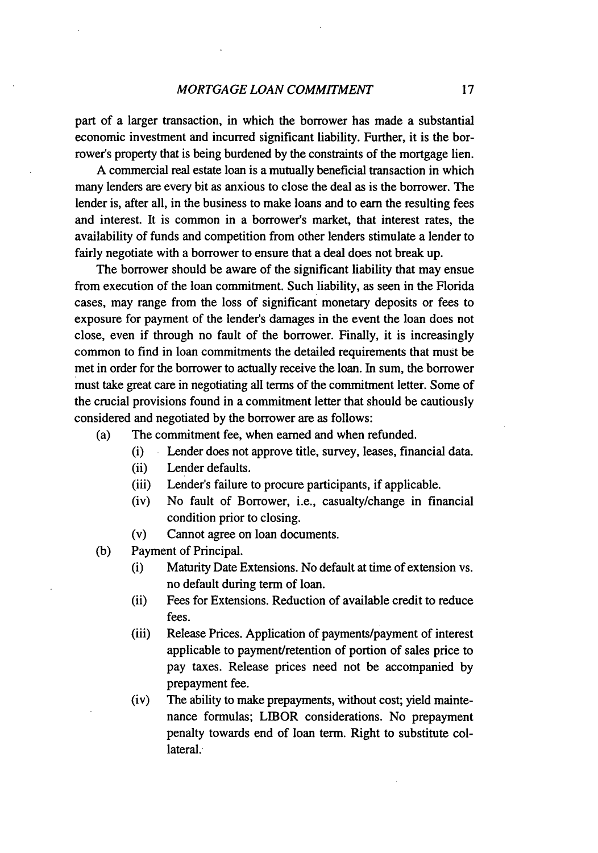part of a larger transaction, in which the borrower has made a substantial economic investment and incurred significant liability. Further, it is the borrower's property that is being burdened **by** the constraints of the mortgage lien.

A commercial real estate loan is a mutually beneficial transaction in which many lenders are every bit as anxious to close the deal as is the borrower. The lender is, after all, in the business to make loans and to earn the resulting fees and interest. It is common in a borrower's market, that interest rates, the availability of funds and competition from other lenders stimulate a lender to fairly negotiate with a borrower to ensure that a deal does not break up.

The borrower should be aware of the significant liability that may ensue from execution of the loan commitment. Such liability, as seen in the Florida cases, may range from the loss of significant monetary deposits or fees to exposure for payment of the lender's damages in the event the loan does not close, even if through no fault of the borrower. Finally, it is increasingly common to find in loan commitments the detailed requirements that must be met in order for the borrower to actually receive the loan. In sum, the borrower must take great care in negotiating all terms of the commitment letter. Some of the crucial provisions found in a commitment letter that should be cautiously considered and negotiated **by** the borrower are as follows:

- (a) The commitment fee, when earned and when refunded.
	- (i) Lender does not approve title, survey, leases, financial data.
	- (ii) Lender defaults.
	- (iii) Lender's failure to procure participants, if applicable.
	- (iv) No fault of Borrower, i.e., casualty/change in financial condition prior to closing.
	- (v) Cannot agree on loan documents.
- (b) Payment of Principal.
	- (i) Maturity Date Extensions. No default at time of extension vs. no default during term of loan.
	- (ii) Fees for Extensions. Reduction of available credit to reduce fees.
	- (iii) Release Prices. Application of payments/payment of interest applicable to payment/retention of portion of sales price to pay taxes. Release prices need not be accompanied by prepayment fee.
	- (iv) The ability to make prepayments, without cost; yield maintenance formulas; LIBOR considerations. No prepayment penalty towards end of loan term. Right to substitute collateral.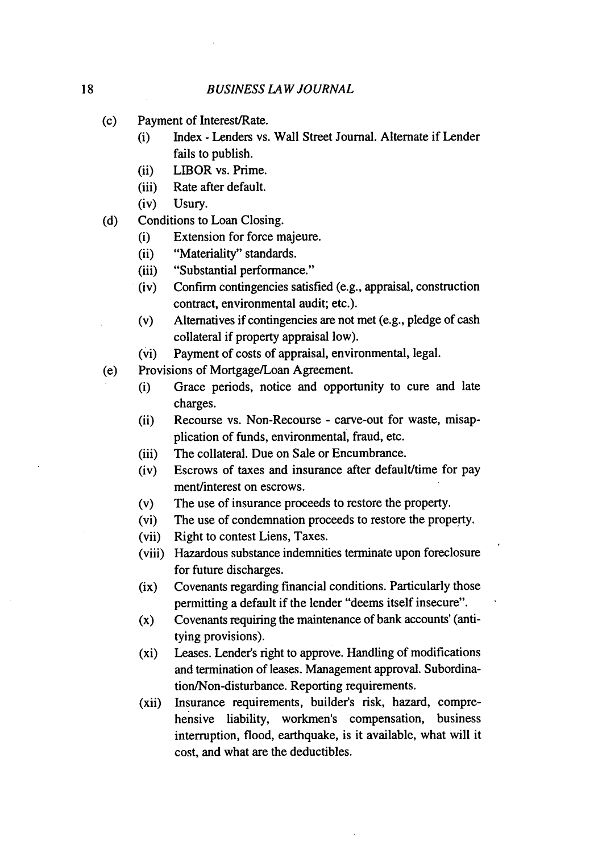- (c) Payment of Interest/Rate.
	- (i) Index Lenders vs. Wall Street Journal. Alternate if Lender fails to publish.
	- (ii) LIBOR vs. Prime.
	- (iii) Rate after default.
	- (iv) Usury.
- (d) Conditions to Loan Closing.
	- (i) Extension for force majeure.
	- (ii) "Materiality" standards.
	- (iii) "Substantial performance."
	- (iv) Confirm contingencies satisfied (e.g., appraisal, construction contract, environmental audit; etc.).
	- (v) Alternatives if contingencies are not met (e.g., pledge of cash collateral if property appraisal low).
	- (vi) Payment of costs of appraisal, environmental, legal.
- (e) Provisions of Mortgage/Loan Agreement.
	- (i) Grace periods, notice and opportunity to cure and late charges.
	- (ii) Recourse vs. Non-Recourse carve-out for waste, misapplication of funds, environmental, fraud, etc.
	- (iii) The collateral. Due on Sale or Encumbrance.
	- (iv) Escrows of taxes and insurance after default/time for pay ment/interest on escrows.
	- (v) The use of insurance proceeds to restore the property.
	- (vi) The use of condemnation proceeds to restore the property.
	- (vii) Right to contest Liens, Taxes.
	- (viii) Hazardous substance indemnities terminate upon foreclosure for future discharges.
	- (ix) Covenants regarding financial conditions. Particularly those permitting a default if the lender "deems itself insecure".
	- (x) Covenants requiring the maintenance of bank accounts' (antitying provisions).
	- (xi) Leases. Lender's right to approve. Handling of modifications and termination of leases. Management approval. Subordination/Non-disturbance. Reporting requirements.
	- (xii) Insurance requirements, builder's risk, hazard, comprehensive liability, workmen's compensation, business interruption, flood, earthquake, is it available, what will it cost, and what are the deductibles.

18